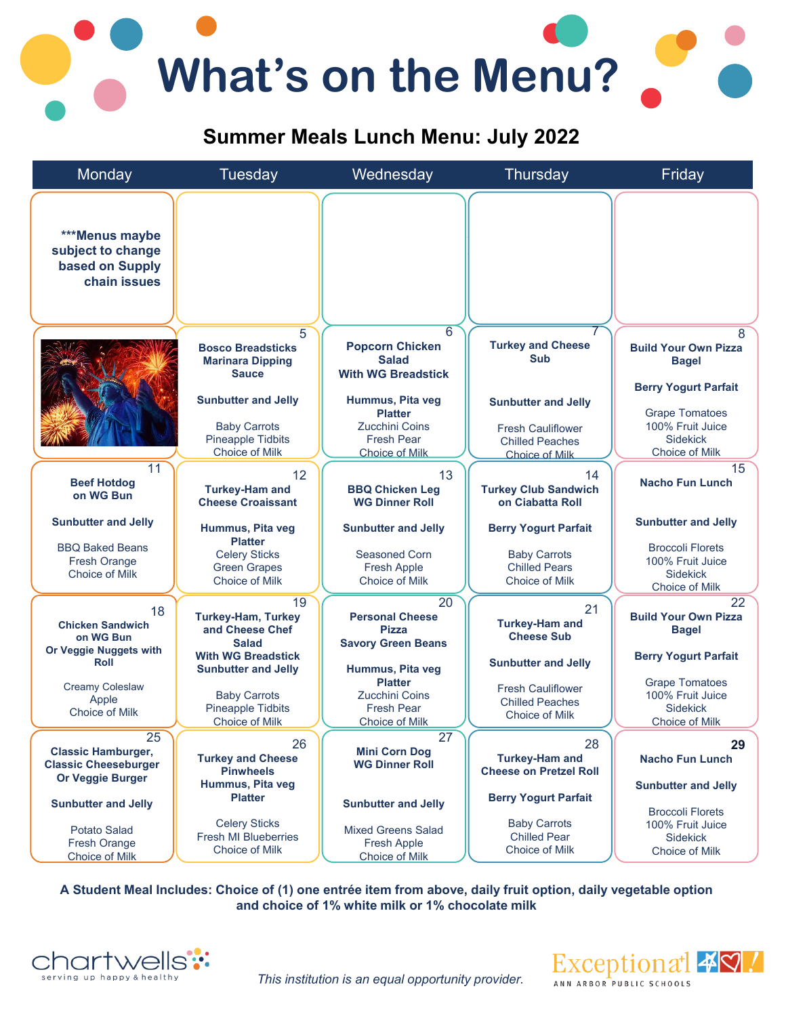# **What's on the Menu?**

## **Summer Meals Lunch Menu: July 2022**



**A Student Meal Includes: Choice of (1) one entrée item from above, daily fruit option, daily vegetable option and choice of 1% white milk or 1% chocolate milk**



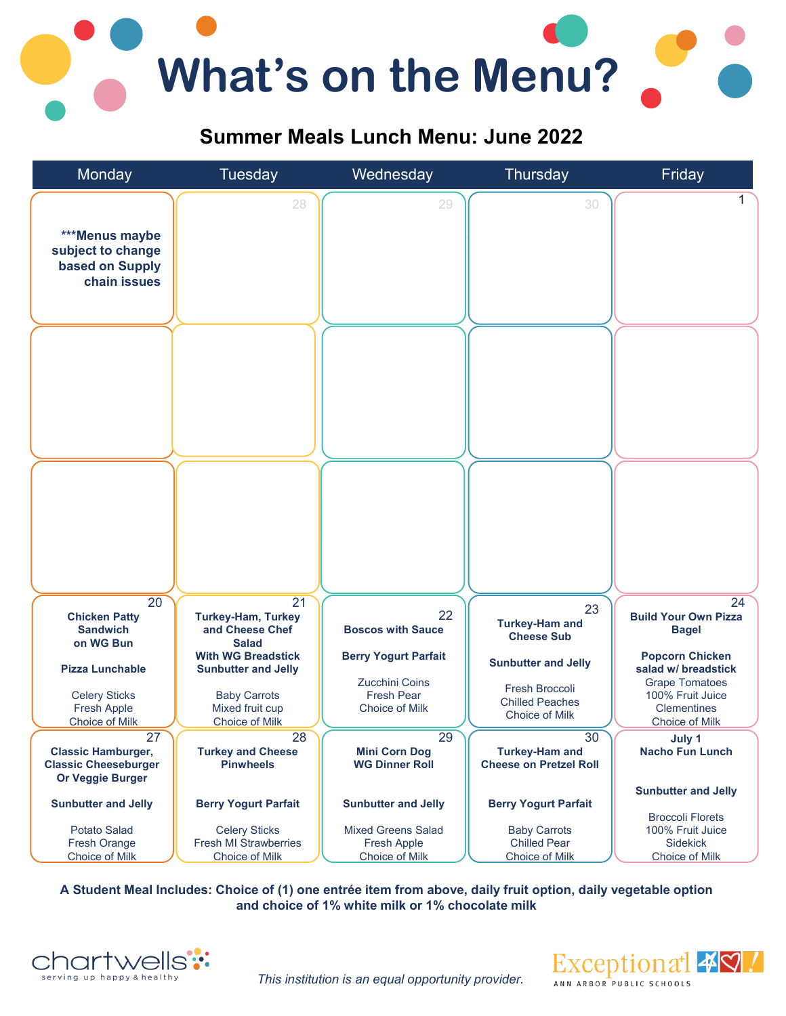

### **Summer Meals Lunch Menu: June 2022**



**A Student Meal Includes: Choice of (1) one entrée item from above, daily fruit option, daily vegetable option and choice of 1% white milk or 1% chocolate milk**



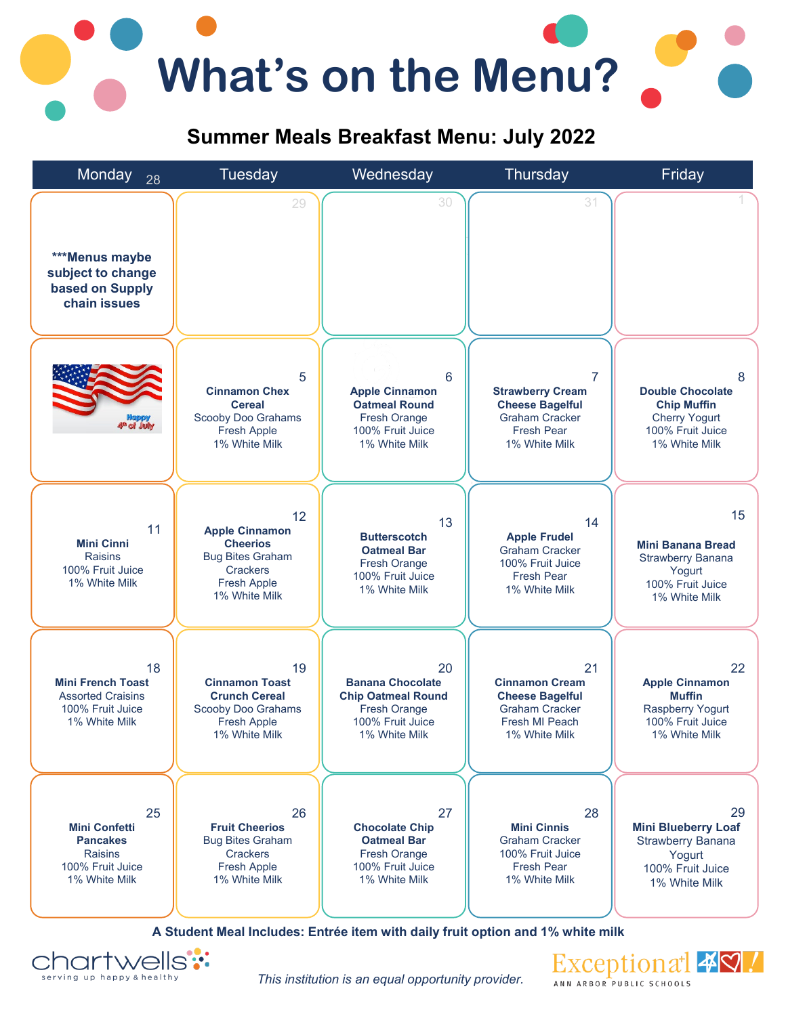# **What's on the Menu?**

### **Summer Meals Breakfast Menu: July 2022**



**A Student Meal Includes: Entrée item with daily fruit option and 1% white milk**